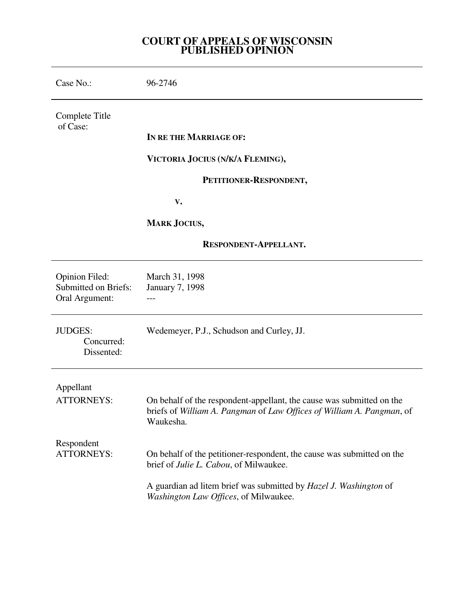## **COURT OF APPEALS OF WISCONSIN PUBLISHED OPINION**

| Case No.:                                                              | 96-2746                                                                                                                                                     |
|------------------------------------------------------------------------|-------------------------------------------------------------------------------------------------------------------------------------------------------------|
| Complete Title<br>of Case:                                             |                                                                                                                                                             |
|                                                                        | IN RE THE MARRIAGE OF:                                                                                                                                      |
|                                                                        | VICTORIA JOCIUS (N/K/A FLEMING),                                                                                                                            |
|                                                                        | PETITIONER-RESPONDENT,                                                                                                                                      |
|                                                                        | V.                                                                                                                                                          |
|                                                                        | <b>MARK JOCIUS,</b>                                                                                                                                         |
| RESPONDENT-APPELLANT.                                                  |                                                                                                                                                             |
| <b>Opinion Filed:</b><br><b>Submitted on Briefs:</b><br>Oral Argument: | March 31, 1998<br><b>January 7, 1998</b>                                                                                                                    |
| <b>JUDGES:</b><br>Concurred:<br>Dissented:                             | Wedemeyer, P.J., Schudson and Curley, JJ.                                                                                                                   |
| Appellant                                                              |                                                                                                                                                             |
| <b>ATTORNEYS:</b>                                                      | On behalf of the respondent-appellant, the cause was submitted on the<br>briefs of William A. Pangman of Law Offices of William A. Pangman, of<br>Waukesha. |
| Respondent<br><b>ATTORNEYS:</b>                                        | On behalf of the petitioner-respondent, the cause was submitted on the<br>brief of Julie L. Cabou, of Milwaukee.                                            |
|                                                                        | A guardian ad litem brief was submitted by Hazel J. Washington of<br>Washington Law Offices, of Milwaukee.                                                  |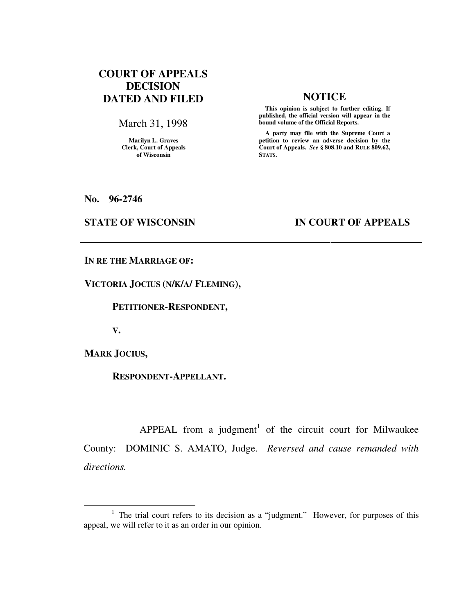# **COURT OF APPEALS DECISION DATED AND FILED NOTICE**

March 31, 1998

**Marilyn L. Graves Clerk, Court of Appeals of Wisconsin** 

 **This opinion is subject to further editing. If published, the official version will appear in the bound volume of the Official Reports.**

 **A party may file with the Supreme Court a petition to review an adverse decision by the Court of Appeals.** *See* **§ 808.10 and RULE 809.62, STATS.** 

**No. 96-2746** 

## **STATE OF WISCONSIN IN COURT OF APPEALS**

**IN RE THE MARRIAGE OF:** 

**VICTORIA JOCIUS (N/K/A/ FLEMING),** 

 **PETITIONER-RESPONDENT,** 

**V.** 

**MARK JOCIUS,** 

 $\overline{a}$ 

 **RESPONDENT-APPELLANT.** 

APPEAL from a judgment<sup>1</sup> of the circuit court for Milwaukee County: DOMINIC S. AMATO, Judge. *Reversed and cause remanded with directions.*

<sup>&</sup>lt;sup>1</sup> The trial court refers to its decision as a "judgment." However, for purposes of this appeal, we will refer to it as an order in our opinion.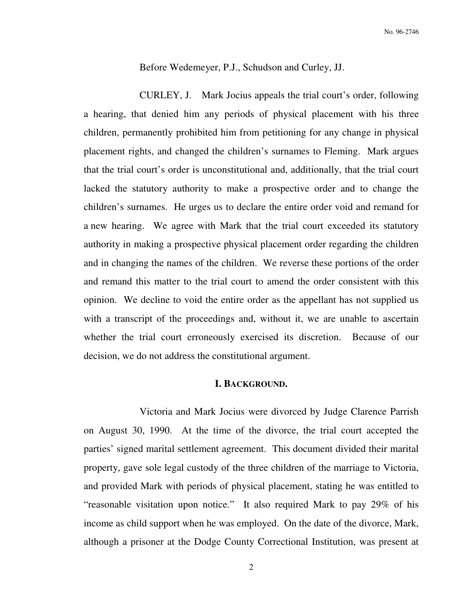Before Wedemeyer, P.J., Schudson and Curley, JJ.

 CURLEY, J. Mark Jocius appeals the trial court's order, following a hearing, that denied him any periods of physical placement with his three children, permanently prohibited him from petitioning for any change in physical placement rights, and changed the children's surnames to Fleming. Mark argues that the trial court's order is unconstitutional and, additionally, that the trial court lacked the statutory authority to make a prospective order and to change the children's surnames. He urges us to declare the entire order void and remand for a new hearing. We agree with Mark that the trial court exceeded its statutory authority in making a prospective physical placement order regarding the children and in changing the names of the children. We reverse these portions of the order and remand this matter to the trial court to amend the order consistent with this opinion. We decline to void the entire order as the appellant has not supplied us with a transcript of the proceedings and, without it, we are unable to ascertain whether the trial court erroneously exercised its discretion. Because of our decision, we do not address the constitutional argument.

## **I. BACKGROUND.**

 Victoria and Mark Jocius were divorced by Judge Clarence Parrish on August 30, 1990. At the time of the divorce, the trial court accepted the parties' signed marital settlement agreement. This document divided their marital property, gave sole legal custody of the three children of the marriage to Victoria, and provided Mark with periods of physical placement, stating he was entitled to "reasonable visitation upon notice." It also required Mark to pay 29% of his income as child support when he was employed. On the date of the divorce, Mark, although a prisoner at the Dodge County Correctional Institution, was present at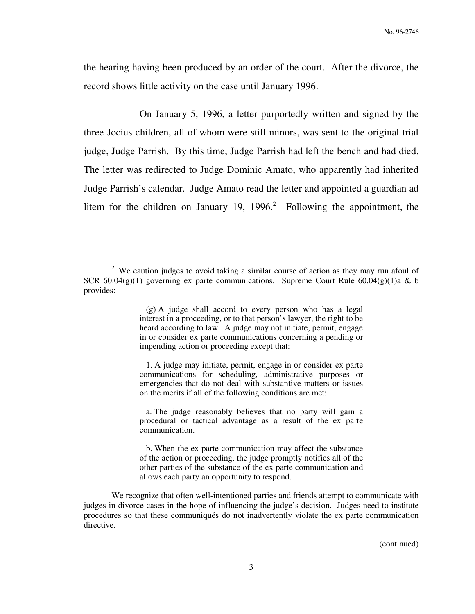the hearing having been produced by an order of the court. After the divorce, the record shows little activity on the case until January 1996.

 On January 5, 1996, a letter purportedly written and signed by the three Jocius children, all of whom were still minors, was sent to the original trial judge, Judge Parrish. By this time, Judge Parrish had left the bench and had died. The letter was redirected to Judge Dominic Amato, who apparently had inherited Judge Parrish's calendar. Judge Amato read the letter and appointed a guardian ad litem for the children on January 19,  $1996<sup>2</sup>$  Following the appointment, the

 $\overline{a}$ 

 1. A judge may initiate, permit, engage in or consider ex parte communications for scheduling, administrative purposes or emergencies that do not deal with substantive matters or issues on the merits if all of the following conditions are met:

 a. The judge reasonably believes that no party will gain a procedural or tactical advantage as a result of the ex parte communication.

 b. When the ex parte communication may affect the substance of the action or proceeding, the judge promptly notifies all of the other parties of the substance of the ex parte communication and allows each party an opportunity to respond.

We recognize that often well-intentioned parties and friends attempt to communicate with judges in divorce cases in the hope of influencing the judge's decision. Judges need to institute procedures so that these communiqués do not inadvertently violate the ex parte communication directive.

(continued)

<sup>&</sup>lt;sup>2</sup> We caution judges to avoid taking a similar course of action as they may run afoul of SCR  $60.04(g)(1)$  governing ex parte communications. Supreme Court Rule  $60.04(g)(1)$ a & b provides:

 <sup>(</sup>g) A judge shall accord to every person who has a legal interest in a proceeding, or to that person's lawyer, the right to be heard according to law. A judge may not initiate, permit, engage in or consider ex parte communications concerning a pending or impending action or proceeding except that: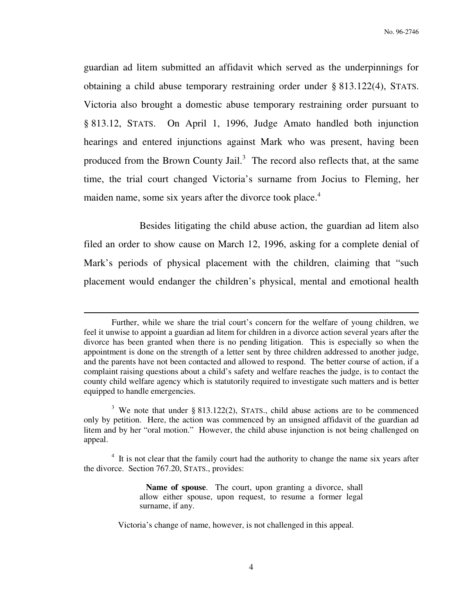guardian ad litem submitted an affidavit which served as the underpinnings for obtaining a child abuse temporary restraining order under § 813.122(4), STATS. Victoria also brought a domestic abuse temporary restraining order pursuant to § 813.12, STATS. On April 1, 1996, Judge Amato handled both injunction hearings and entered injunctions against Mark who was present, having been produced from the Brown County Jail.<sup>3</sup> The record also reflects that, at the same time, the trial court changed Victoria's surname from Jocius to Fleming, her maiden name, some six years after the divorce took place.<sup>4</sup>

 Besides litigating the child abuse action, the guardian ad litem also filed an order to show cause on March 12, 1996, asking for a complete denial of Mark's periods of physical placement with the children, claiming that "such placement would endanger the children's physical, mental and emotional health

Further, while we share the trial court's concern for the welfare of young children, we feel it unwise to appoint a guardian ad litem for children in a divorce action several years after the divorce has been granted when there is no pending litigation. This is especially so when the appointment is done on the strength of a letter sent by three children addressed to another judge, and the parents have not been contacted and allowed to respond. The better course of action, if a complaint raising questions about a child's safety and welfare reaches the judge, is to contact the county child welfare agency which is statutorily required to investigate such matters and is better equipped to handle emergencies.

<sup>&</sup>lt;sup>3</sup> We note that under § 813.122(2), STATS., child abuse actions are to be commenced only by petition. Here, the action was commenced by an unsigned affidavit of the guardian ad litem and by her "oral motion." However, the child abuse injunction is not being challenged on appeal.

<sup>&</sup>lt;sup>4</sup> It is not clear that the family court had the authority to change the name six years after the divorce. Section 767.20, STATS., provides:

**Name of spouse**. The court, upon granting a divorce, shall allow either spouse, upon request, to resume a former legal surname, if any.

Victoria's change of name, however, is not challenged in this appeal.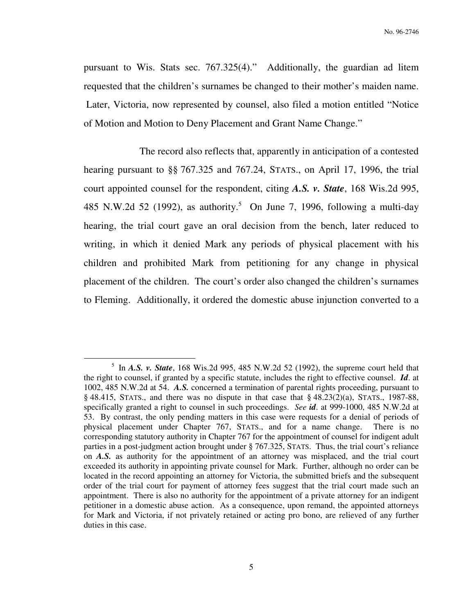pursuant to Wis. Stats sec. 767.325(4)." Additionally, the guardian ad litem requested that the children's surnames be changed to their mother's maiden name. Later, Victoria, now represented by counsel, also filed a motion entitled "Notice of Motion and Motion to Deny Placement and Grant Name Change."

 The record also reflects that, apparently in anticipation of a contested hearing pursuant to §§ 767.325 and 767.24, STATS., on April 17, 1996, the trial court appointed counsel for the respondent, citing *A.S. v. State*, 168 Wis.2d 995, 485 N.W.2d 52 (1992), as authority.<sup>5</sup> On June 7, 1996, following a multi-day hearing, the trial court gave an oral decision from the bench, later reduced to writing, in which it denied Mark any periods of physical placement with his children and prohibited Mark from petitioning for any change in physical placement of the children. The court's order also changed the children's surnames to Fleming. Additionally, it ordered the domestic abuse injunction converted to a

 $<sup>5</sup>$  In *A.S. v. State*, 168 Wis.2d 995, 485 N.W.2d 52 (1992), the supreme court held that</sup> the right to counsel, if granted by a specific statute, includes the right to effective counsel. *Id*. at 1002, 485 N.W.2d at 54. *A.S.* concerned a termination of parental rights proceeding, pursuant to  $§$  48.415, STATS., and there was no dispute in that case that  $§$  48.23(2)(a), STATS., 1987-88, specifically granted a right to counsel in such proceedings. *See id*. at 999-1000, 485 N.W.2d at 53. By contrast, the only pending matters in this case were requests for a denial of periods of physical placement under Chapter 767, STATS., and for a name change. There is no corresponding statutory authority in Chapter 767 for the appointment of counsel for indigent adult parties in a post-judgment action brought under § 767.325, STATS. Thus, the trial court's reliance on *A.S.* as authority for the appointment of an attorney was misplaced, and the trial court exceeded its authority in appointing private counsel for Mark. Further, although no order can be located in the record appointing an attorney for Victoria, the submitted briefs and the subsequent order of the trial court for payment of attorney fees suggest that the trial court made such an appointment. There is also no authority for the appointment of a private attorney for an indigent petitioner in a domestic abuse action. As a consequence, upon remand, the appointed attorneys for Mark and Victoria, if not privately retained or acting pro bono, are relieved of any further duties in this case.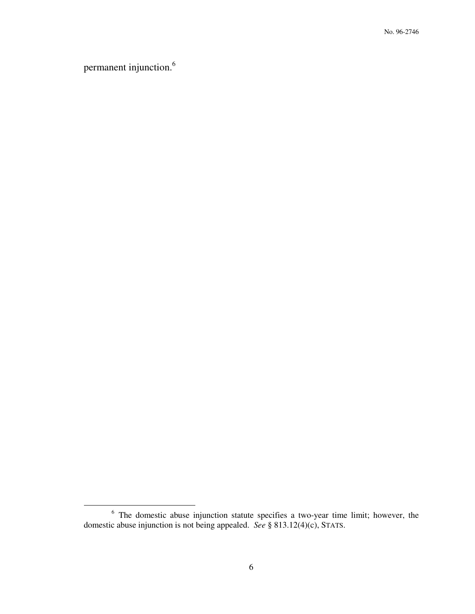permanent injunction.<sup>6</sup>

 6 The domestic abuse injunction statute specifies a two-year time limit; however, the domestic abuse injunction is not being appealed. *See* § 813.12(4)(c), STATS.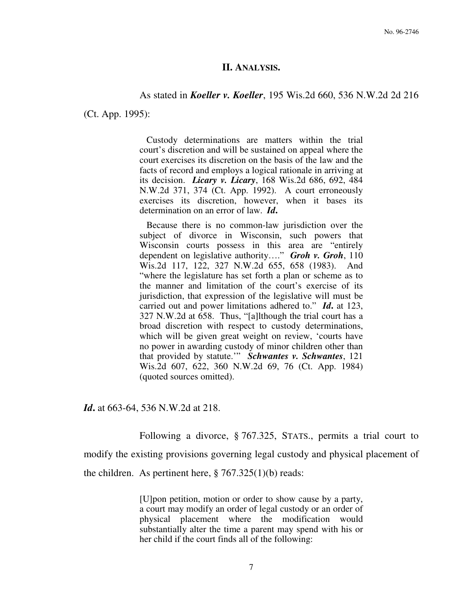### **II. ANALYSIS.**

### As stated in *Koeller v. Koeller*, 195 Wis.2d 660, 536 N.W.2d 2d 216

(Ct. App. 1995):

 Custody determinations are matters within the trial court's discretion and will be sustained on appeal where the court exercises its discretion on the basis of the law and the facts of record and employs a logical rationale in arriving at its decision. *Licary v. Licary*, 168 Wis.2d 686, 692, 484 N.W.2d 371, 374 (Ct. App. 1992). A court erroneously exercises its discretion, however, when it bases its determination on an error of law. *Id***.**

 Because there is no common-law jurisdiction over the subject of divorce in Wisconsin, such powers that Wisconsin courts possess in this area are "entirely dependent on legislative authority…." *Groh v. Groh*, 110 Wis.2d 117, 122, 327 N.W.2d 655, 658 (1983). And "where the legislature has set forth a plan or scheme as to the manner and limitation of the court's exercise of its jurisdiction, that expression of the legislative will must be carried out and power limitations adhered to." *Id***.** at 123, 327 N.W.2d at 658. Thus, "[a]lthough the trial court has a broad discretion with respect to custody determinations, which will be given great weight on review, 'courts have no power in awarding custody of minor children other than that provided by statute.'" *Schwantes v. Schwantes*, 121 Wis.2d 607, 622, 360 N.W.2d 69, 76 (Ct. App. 1984) (quoted sources omitted).

*Id***.** at 663-64, 536 N.W.2d at 218.

Following a divorce, § 767.325, STATS., permits a trial court to

modify the existing provisions governing legal custody and physical placement of

the children. As pertinent here,  $\S 767.325(1)(b)$  reads:

[U]pon petition, motion or order to show cause by a party, a court may modify an order of legal custody or an order of physical placement where the modification would substantially alter the time a parent may spend with his or her child if the court finds all of the following: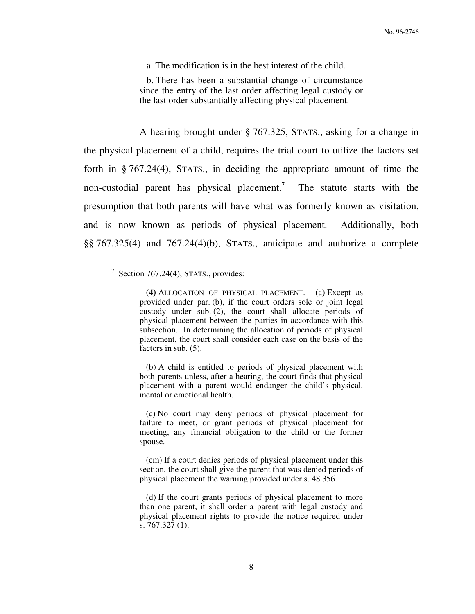a. The modification is in the best interest of the child.

 b. There has been a substantial change of circumstance since the entry of the last order affecting legal custody or the last order substantially affecting physical placement.

 A hearing brought under § 767.325, STATS., asking for a change in the physical placement of a child, requires the trial court to utilize the factors set forth in § 767.24(4), STATS., in deciding the appropriate amount of time the non-custodial parent has physical placement.<sup>7</sup> The statute starts with the presumption that both parents will have what was formerly known as visitation, and is now known as periods of physical placement. Additionally, both §§ 767.325(4) and 767.24(4)(b), STATS., anticipate and authorize a complete

 $\overline{a}$ 

 (b) A child is entitled to periods of physical placement with both parents unless, after a hearing, the court finds that physical placement with a parent would endanger the child's physical, mental or emotional health.

 (c) No court may deny periods of physical placement for failure to meet, or grant periods of physical placement for meeting, any financial obligation to the child or the former spouse.

 (cm) If a court denies periods of physical placement under this section, the court shall give the parent that was denied periods of physical placement the warning provided under s. 48.356.

 (d) If the court grants periods of physical placement to more than one parent, it shall order a parent with legal custody and physical placement rights to provide the notice required under s. 767.327 (1).

<sup>&</sup>lt;sup>7</sup> Section 767.24(4), STATS., provides:

**(4)** ALLOCATION OF PHYSICAL PLACEMENT. (a) Except as provided under par. (b), if the court orders sole or joint legal custody under sub. (2), the court shall allocate periods of physical placement between the parties in accordance with this subsection. In determining the allocation of periods of physical placement, the court shall consider each case on the basis of the factors in sub. (5).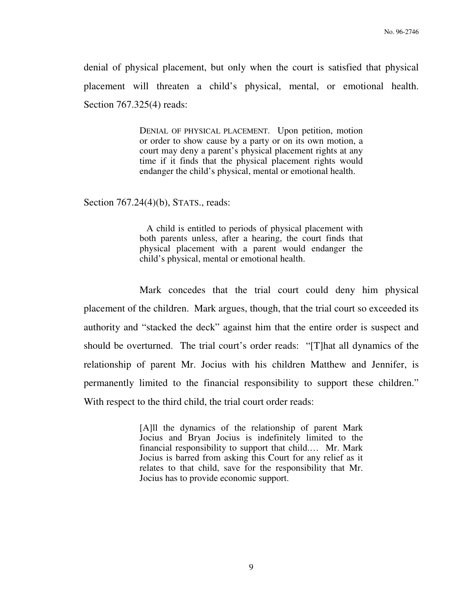denial of physical placement, but only when the court is satisfied that physical placement will threaten a child's physical, mental, or emotional health. Section 767.325(4) reads:

> DENIAL OF PHYSICAL PLACEMENT. Upon petition, motion or order to show cause by a party or on its own motion, a court may deny a parent's physical placement rights at any time if it finds that the physical placement rights would endanger the child's physical, mental or emotional health.

Section 767.24(4)(b), STATS., reads:

 A child is entitled to periods of physical placement with both parents unless, after a hearing, the court finds that physical placement with a parent would endanger the child's physical, mental or emotional health.

 Mark concedes that the trial court could deny him physical placement of the children. Mark argues, though, that the trial court so exceeded its authority and "stacked the deck" against him that the entire order is suspect and should be overturned. The trial court's order reads: "[T]hat all dynamics of the relationship of parent Mr. Jocius with his children Matthew and Jennifer, is permanently limited to the financial responsibility to support these children." With respect to the third child, the trial court order reads:

> [A]ll the dynamics of the relationship of parent Mark Jocius and Bryan Jocius is indefinitely limited to the financial responsibility to support that child.… Mr. Mark Jocius is barred from asking this Court for any relief as it relates to that child, save for the responsibility that Mr. Jocius has to provide economic support.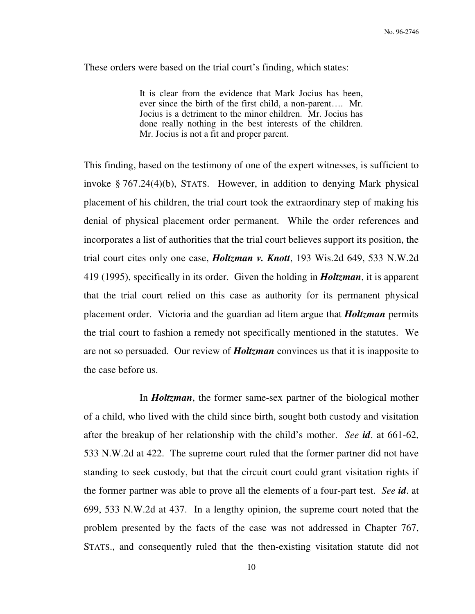These orders were based on the trial court's finding, which states:

It is clear from the evidence that Mark Jocius has been, ever since the birth of the first child, a non-parent…. Mr. Jocius is a detriment to the minor children. Mr. Jocius has done really nothing in the best interests of the children. Mr. Jocius is not a fit and proper parent.

This finding, based on the testimony of one of the expert witnesses, is sufficient to invoke § 767.24(4)(b), STATS. However, in addition to denying Mark physical placement of his children, the trial court took the extraordinary step of making his denial of physical placement order permanent. While the order references and incorporates a list of authorities that the trial court believes support its position, the trial court cites only one case, *Holtzman v. Knott*, 193 Wis.2d 649, 533 N.W.2d 419 (1995), specifically in its order. Given the holding in *Holtzman*, it is apparent that the trial court relied on this case as authority for its permanent physical placement order. Victoria and the guardian ad litem argue that *Holtzman* permits the trial court to fashion a remedy not specifically mentioned in the statutes. We are not so persuaded. Our review of *Holtzman* convinces us that it is inapposite to the case before us.

 In *Holtzman*, the former same-sex partner of the biological mother of a child, who lived with the child since birth, sought both custody and visitation after the breakup of her relationship with the child's mother. *See id*. at 661-62, 533 N.W.2d at 422. The supreme court ruled that the former partner did not have standing to seek custody, but that the circuit court could grant visitation rights if the former partner was able to prove all the elements of a four-part test. *See id*. at 699, 533 N.W.2d at 437. In a lengthy opinion, the supreme court noted that the problem presented by the facts of the case was not addressed in Chapter 767, STATS., and consequently ruled that the then-existing visitation statute did not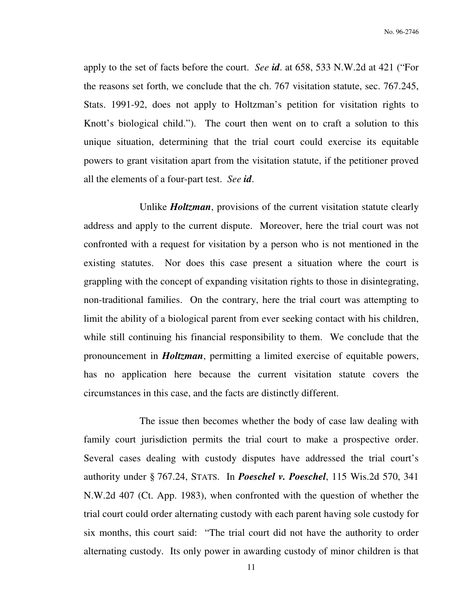apply to the set of facts before the court. *See id*. at 658, 533 N.W.2d at 421 ("For the reasons set forth, we conclude that the ch. 767 visitation statute, sec. 767.245, Stats. 1991-92, does not apply to Holtzman's petition for visitation rights to Knott's biological child."). The court then went on to craft a solution to this unique situation, determining that the trial court could exercise its equitable powers to grant visitation apart from the visitation statute, if the petitioner proved all the elements of a four-part test. *See id*.

 Unlike *Holtzman*, provisions of the current visitation statute clearly address and apply to the current dispute. Moreover, here the trial court was not confronted with a request for visitation by a person who is not mentioned in the existing statutes. Nor does this case present a situation where the court is grappling with the concept of expanding visitation rights to those in disintegrating, non-traditional families. On the contrary, here the trial court was attempting to limit the ability of a biological parent from ever seeking contact with his children, while still continuing his financial responsibility to them. We conclude that the pronouncement in *Holtzman*, permitting a limited exercise of equitable powers, has no application here because the current visitation statute covers the circumstances in this case, and the facts are distinctly different.

 The issue then becomes whether the body of case law dealing with family court jurisdiction permits the trial court to make a prospective order. Several cases dealing with custody disputes have addressed the trial court's authority under § 767.24, STATS. In *Poeschel v. Poeschel*, 115 Wis.2d 570, 341 N.W.2d 407 (Ct. App. 1983), when confronted with the question of whether the trial court could order alternating custody with each parent having sole custody for six months, this court said: "The trial court did not have the authority to order alternating custody. Its only power in awarding custody of minor children is that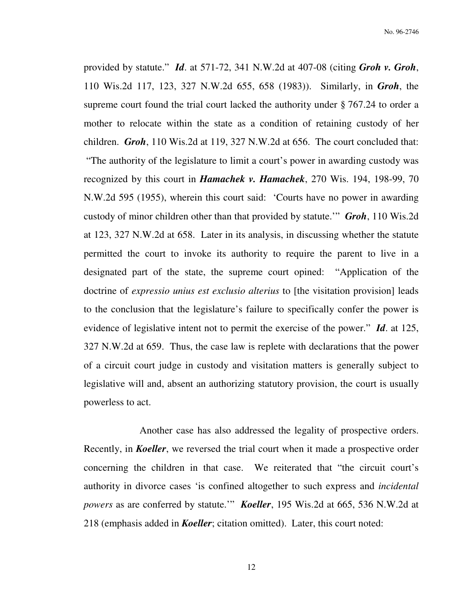provided by statute." *Id*. at 571-72, 341 N.W.2d at 407-08 (citing *Groh v. Groh*, 110 Wis.2d 117, 123, 327 N.W.2d 655, 658 (1983)). Similarly, in *Groh*, the supreme court found the trial court lacked the authority under § 767.24 to order a mother to relocate within the state as a condition of retaining custody of her children. *Groh*, 110 Wis.2d at 119, 327 N.W.2d at 656. The court concluded that: "The authority of the legislature to limit a court's power in awarding custody was recognized by this court in *Hamachek v. Hamachek*, 270 Wis. 194, 198-99, 70 N.W.2d 595 (1955), wherein this court said: 'Courts have no power in awarding custody of minor children other than that provided by statute.'" *Groh*, 110 Wis.2d at 123, 327 N.W.2d at 658. Later in its analysis, in discussing whether the statute permitted the court to invoke its authority to require the parent to live in a designated part of the state, the supreme court opined: "Application of the doctrine of *expressio unius est exclusio alterius* to [the visitation provision] leads to the conclusion that the legislature's failure to specifically confer the power is evidence of legislative intent not to permit the exercise of the power." *Id*. at 125, 327 N.W.2d at 659. Thus, the case law is replete with declarations that the power of a circuit court judge in custody and visitation matters is generally subject to legislative will and, absent an authorizing statutory provision, the court is usually powerless to act.

 Another case has also addressed the legality of prospective orders. Recently, in *Koeller*, we reversed the trial court when it made a prospective order concerning the children in that case. We reiterated that "the circuit court's authority in divorce cases 'is confined altogether to such express and *incidental powers* as are conferred by statute.'" *Koeller*, 195 Wis.2d at 665, 536 N.W.2d at 218 (emphasis added in *Koeller*; citation omitted). Later, this court noted: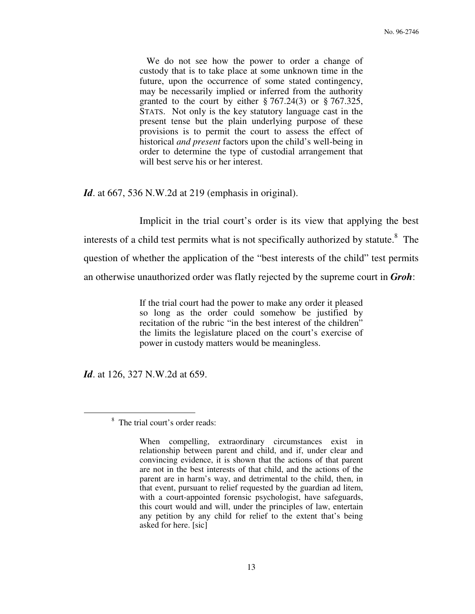We do not see how the power to order a change of custody that is to take place at some unknown time in the future, upon the occurrence of some stated contingency, may be necessarily implied or inferred from the authority granted to the court by either  $\S 767.24(3)$  or  $\S 767.325$ , STATS. Not only is the key statutory language cast in the present tense but the plain underlying purpose of these provisions is to permit the court to assess the effect of historical *and present* factors upon the child's well-being in order to determine the type of custodial arrangement that will best serve his or her interest.

*Id.* at 667, 536 N.W.2d at 219 (emphasis in original).

 Implicit in the trial court's order is its view that applying the best interests of a child test permits what is not specifically authorized by statute.<sup>8</sup> The question of whether the application of the "best interests of the child" test permits an otherwise unauthorized order was flatly rejected by the supreme court in *Groh*:

> If the trial court had the power to make any order it pleased so long as the order could somehow be justified by recitation of the rubric "in the best interest of the children" the limits the legislature placed on the court's exercise of power in custody matters would be meaningless.

*Id.* at 126, 327 N.W.2d at 659.

<sup>8</sup> The trial court's order reads:

When compelling, extraordinary circumstances exist in relationship between parent and child, and if, under clear and convincing evidence, it is shown that the actions of that parent are not in the best interests of that child, and the actions of the parent are in harm's way, and detrimental to the child, then, in that event, pursuant to relief requested by the guardian ad litem, with a court-appointed forensic psychologist, have safeguards, this court would and will, under the principles of law, entertain any petition by any child for relief to the extent that's being asked for here. [sic]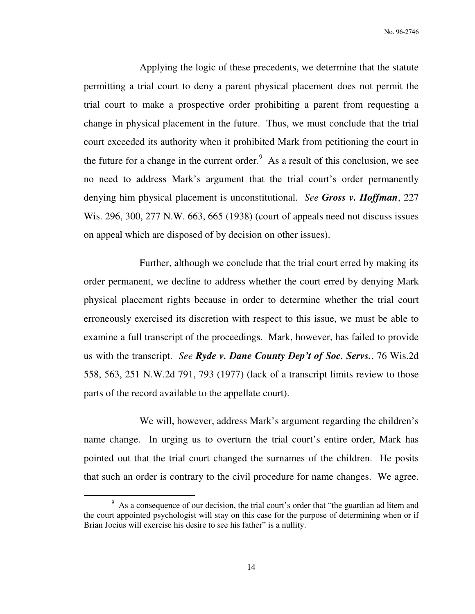Applying the logic of these precedents, we determine that the statute permitting a trial court to deny a parent physical placement does not permit the trial court to make a prospective order prohibiting a parent from requesting a change in physical placement in the future. Thus, we must conclude that the trial court exceeded its authority when it prohibited Mark from petitioning the court in the future for a change in the current order. $9$  As a result of this conclusion, we see no need to address Mark's argument that the trial court's order permanently denying him physical placement is unconstitutional. *See Gross v. Hoffman*, 227 Wis. 296, 300, 277 N.W. 663, 665 (1938) (court of appeals need not discuss issues on appeal which are disposed of by decision on other issues).

 Further, although we conclude that the trial court erred by making its order permanent, we decline to address whether the court erred by denying Mark physical placement rights because in order to determine whether the trial court erroneously exercised its discretion with respect to this issue, we must be able to examine a full transcript of the proceedings. Mark, however, has failed to provide us with the transcript. *See Ryde v. Dane County Dep't of Soc. Servs.*, 76 Wis.2d 558, 563, 251 N.W.2d 791, 793 (1977) (lack of a transcript limits review to those parts of the record available to the appellate court).

 We will, however, address Mark's argument regarding the children's name change. In urging us to overturn the trial court's entire order, Mark has pointed out that the trial court changed the surnames of the children. He posits that such an order is contrary to the civil procedure for name changes. We agree.

<sup>&</sup>lt;sup>9</sup> As a consequence of our decision, the trial court's order that "the guardian ad litem and the court appointed psychologist will stay on this case for the purpose of determining when or if Brian Jocius will exercise his desire to see his father" is a nullity.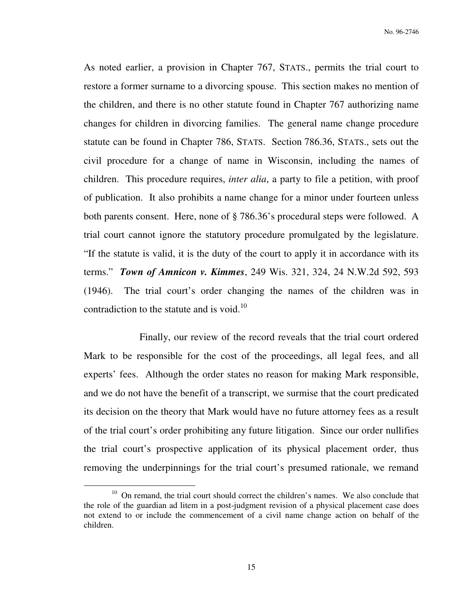As noted earlier, a provision in Chapter 767, STATS., permits the trial court to restore a former surname to a divorcing spouse. This section makes no mention of the children, and there is no other statute found in Chapter 767 authorizing name changes for children in divorcing families. The general name change procedure statute can be found in Chapter 786, STATS. Section 786.36, STATS., sets out the civil procedure for a change of name in Wisconsin, including the names of children. This procedure requires, *inter alia*, a party to file a petition, with proof of publication. It also prohibits a name change for a minor under fourteen unless both parents consent. Here, none of § 786.36's procedural steps were followed. A trial court cannot ignore the statutory procedure promulgated by the legislature. "If the statute is valid, it is the duty of the court to apply it in accordance with its terms." *Town of Amnicon v. Kimmes*, 249 Wis. 321, 324, 24 N.W.2d 592, 593 (1946). The trial court's order changing the names of the children was in contradiction to the statute and is void.<sup>10</sup>

 Finally, our review of the record reveals that the trial court ordered Mark to be responsible for the cost of the proceedings, all legal fees, and all experts' fees. Although the order states no reason for making Mark responsible, and we do not have the benefit of a transcript, we surmise that the court predicated its decision on the theory that Mark would have no future attorney fees as a result of the trial court's order prohibiting any future litigation. Since our order nullifies the trial court's prospective application of its physical placement order, thus removing the underpinnings for the trial court's presumed rationale, we remand

<sup>&</sup>lt;sup>10</sup> On remand, the trial court should correct the children's names. We also conclude that the role of the guardian ad litem in a post-judgment revision of a physical placement case does not extend to or include the commencement of a civil name change action on behalf of the children.